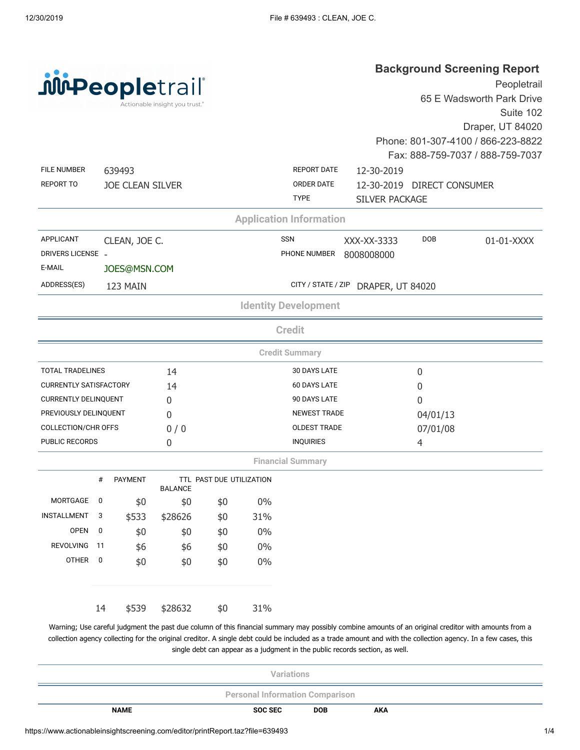| <b><i>jureopletrail</i></b>    |
|--------------------------------|
| Actionable insight you trust." |

## **Background Screening Report**

| <b>Mi-Peopletrail</b> ®             |                         |                         | Actionable insight you trust.® |                          |                     |                                |                                     |                            | Peopletrail<br>65 E Wadsworth Park Drive<br>Suite 102                                                                                                                                                                                                                                                                  |
|-------------------------------------|-------------------------|-------------------------|--------------------------------|--------------------------|---------------------|--------------------------------|-------------------------------------|----------------------------|------------------------------------------------------------------------------------------------------------------------------------------------------------------------------------------------------------------------------------------------------------------------------------------------------------------------|
|                                     |                         |                         |                                |                          |                     |                                |                                     |                            | Draper, UT 84020                                                                                                                                                                                                                                                                                                       |
|                                     |                         |                         |                                |                          |                     |                                |                                     |                            | Phone: 801-307-4100 / 866-223-8822                                                                                                                                                                                                                                                                                     |
|                                     |                         |                         |                                |                          |                     |                                |                                     |                            | Fax: 888-759-7037 / 888-759-7037                                                                                                                                                                                                                                                                                       |
| <b>FILE NUMBER</b>                  |                         | 639493                  |                                |                          |                     | <b>REPORT DATE</b>             | 12-30-2019                          |                            |                                                                                                                                                                                                                                                                                                                        |
| <b>REPORT TO</b>                    |                         | <b>JOE CLEAN SILVER</b> |                                |                          |                     | ORDER DATE<br><b>TYPE</b>      | <b>SILVER PACKAGE</b>               | 12-30-2019 DIRECT CONSUMER |                                                                                                                                                                                                                                                                                                                        |
|                                     |                         |                         |                                |                          |                     | <b>Application Information</b> |                                     |                            |                                                                                                                                                                                                                                                                                                                        |
| APPLICANT                           |                         | CLEAN, JOE C.           |                                |                          |                     | <b>SSN</b>                     | XXX-XX-3333                         | <b>DOB</b>                 | 01-01-XXXX                                                                                                                                                                                                                                                                                                             |
| DRIVERS LICENSE -                   |                         |                         |                                |                          |                     | PHONE NUMBER                   | 8008008000                          |                            |                                                                                                                                                                                                                                                                                                                        |
| E-MAIL                              |                         | JOES@MSN.COM            |                                |                          |                     |                                |                                     |                            |                                                                                                                                                                                                                                                                                                                        |
| ADDRESS(ES)                         |                         | 123 MAIN                |                                |                          |                     |                                | CITY / STATE / ZIP DRAPER, UT 84020 |                            |                                                                                                                                                                                                                                                                                                                        |
|                                     |                         |                         |                                |                          |                     | <b>Identity Development</b>    |                                     |                            |                                                                                                                                                                                                                                                                                                                        |
|                                     |                         |                         |                                |                          |                     | <b>Credit</b>                  |                                     |                            |                                                                                                                                                                                                                                                                                                                        |
|                                     |                         |                         |                                |                          |                     | <b>Credit Summary</b>          |                                     |                            |                                                                                                                                                                                                                                                                                                                        |
| <b>TOTAL TRADELINES</b>             |                         |                         | 14                             |                          |                     | <b>30 DAYS LATE</b>            |                                     | 0                          |                                                                                                                                                                                                                                                                                                                        |
| <b>CURRENTLY SATISFACTORY</b><br>14 |                         |                         |                                |                          | <b>60 DAYS LATE</b> |                                | 0                                   |                            |                                                                                                                                                                                                                                                                                                                        |
| <b>CURRENTLY DELINQUENT</b>         |                         |                         | 0                              |                          |                     | 90 DAYS LATE                   |                                     | 0                          |                                                                                                                                                                                                                                                                                                                        |
| PREVIOUSLY DELINQUENT               |                         |                         | 0                              |                          |                     | <b>NEWEST TRADE</b>            |                                     | 04/01/13                   |                                                                                                                                                                                                                                                                                                                        |
| <b>COLLECTION/CHR OFFS</b>          |                         |                         | 0/0                            |                          |                     | <b>OLDEST TRADE</b>            |                                     | 07/01/08                   |                                                                                                                                                                                                                                                                                                                        |
| <b>PUBLIC RECORDS</b>               |                         |                         | $\mathbf{0}$                   |                          |                     | <b>INQUIRIES</b>               |                                     | 4                          |                                                                                                                                                                                                                                                                                                                        |
|                                     |                         |                         |                                |                          |                     | <b>Financial Summary</b>       |                                     |                            |                                                                                                                                                                                                                                                                                                                        |
|                                     | #                       | <b>PAYMENT</b>          | <b>BALANCE</b>                 | TTL PAST DUE UTILIZATION |                     |                                |                                     |                            |                                                                                                                                                                                                                                                                                                                        |
| MORTGAGE                            | 0                       | \$0                     | \$0                            | \$0                      | 0%                  |                                |                                     |                            |                                                                                                                                                                                                                                                                                                                        |
| INSTALLMENT                         | 3                       | \$533                   | \$28626                        | \$0                      | 31%                 |                                |                                     |                            |                                                                                                                                                                                                                                                                                                                        |
| <b>OPEN</b>                         | 0                       | \$0                     | \$0                            | \$0                      | $0\%$               |                                |                                     |                            |                                                                                                                                                                                                                                                                                                                        |
| <b>REVOLVING</b>                    | 11                      | \$6                     | \$6                            | \$0                      | $0\%$               |                                |                                     |                            |                                                                                                                                                                                                                                                                                                                        |
| OTHER                               | $\overline{\mathbf{0}}$ | \$0                     | \$0                            | \$0                      | $0\%$               |                                |                                     |                            |                                                                                                                                                                                                                                                                                                                        |
|                                     | 14                      | \$539                   | \$28632                        | \$0                      | 31%                 |                                |                                     |                            |                                                                                                                                                                                                                                                                                                                        |
|                                     |                         |                         |                                |                          |                     |                                |                                     |                            | Warning; Use careful judgment the past due column of this financial summary may possibly combine amounts of an original creditor with amounts from a<br>collection agency collecting for the original creditor. A single debt could be included as a trade amount and with the collection agency. In a few cases, this |

single debt can appear as a judgment in the public records section, as well.

| Variations                             |         |            |            |  |  |  |
|----------------------------------------|---------|------------|------------|--|--|--|
| <b>Personal Information Comparison</b> |         |            |            |  |  |  |
| <b>NAME</b>                            | SOC SEC | <b>DOB</b> | <b>AKA</b> |  |  |  |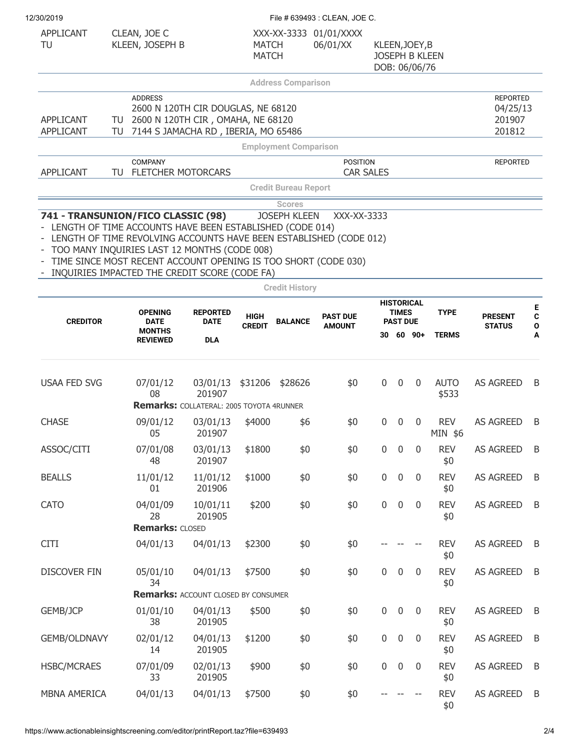| 12/30/2019 |
|------------|
|            |

| 12/30/2019                                                                                       |                                                                                                                                                                                                                                       |                                                                       |                              |                                              | File # 639493 : CLEAN, JOE C.       |                |                                 |                                        |                      |                                                 |             |
|--------------------------------------------------------------------------------------------------|---------------------------------------------------------------------------------------------------------------------------------------------------------------------------------------------------------------------------------------|-----------------------------------------------------------------------|------------------------------|----------------------------------------------|-------------------------------------|----------------|---------------------------------|----------------------------------------|----------------------|-------------------------------------------------|-------------|
| APPLICANT<br>TU                                                                                  | CLEAN, JOE C<br>KLEEN, JOSEPH B                                                                                                                                                                                                       |                                                                       | <b>MATCH</b><br><b>MATCH</b> |                                              | XXX-XX-3333 01/01/XXXX<br>06/01/XX  | KLEEN, JOEY, B |                                 | <b>JOSEPH B KLEEN</b><br>DOB: 06/06/76 |                      |                                                 |             |
|                                                                                                  |                                                                                                                                                                                                                                       |                                                                       |                              | <b>Address Comparison</b>                    |                                     |                |                                 |                                        |                      |                                                 |             |
| APPLICANT<br><b>APPLICANT</b>                                                                    | <b>ADDRESS</b><br>2600 N 120TH CIR, OMAHA, NE 68120<br>TU<br>7144 S JAMACHA RD, IBERIA, MO 65486<br>TU                                                                                                                                | 2600 N 120TH CIR DOUGLAS, NE 68120                                    |                              |                                              |                                     |                |                                 |                                        |                      | <b>REPORTED</b><br>04/25/13<br>201907<br>201812 |             |
|                                                                                                  |                                                                                                                                                                                                                                       |                                                                       |                              | <b>Employment Comparison</b>                 |                                     |                |                                 |                                        |                      |                                                 |             |
| APPLICANT                                                                                        | <b>COMPANY</b><br><b>FLETCHER MOTORCARS</b><br>TU                                                                                                                                                                                     |                                                                       |                              |                                              | <b>POSITION</b><br><b>CAR SALES</b> |                |                                 |                                        |                      | <b>REPORTED</b>                                 |             |
|                                                                                                  |                                                                                                                                                                                                                                       |                                                                       |                              | <b>Credit Bureau Report</b>                  |                                     |                |                                 |                                        |                      |                                                 |             |
|                                                                                                  |                                                                                                                                                                                                                                       |                                                                       |                              | <b>Scores</b>                                |                                     |                |                                 |                                        |                      |                                                 |             |
| 741 - TRANSUNION/FICO CLASSIC (98)<br>- LENGTH OF TIME ACCOUNTS HAVE BEEN ESTABLISHED (CODE 014) | LENGTH OF TIME REVOLVING ACCOUNTS HAVE BEEN ESTABLISHED (CODE 012)<br>TOO MANY INQUIRIES LAST 12 MONTHS (CODE 008)<br>TIME SINCE MOST RECENT ACCOUNT OPENING IS TOO SHORT (CODE 030)<br>INQUIRIES IMPACTED THE CREDIT SCORE (CODE FA) |                                                                       |                              | <b>JOSEPH KLEEN</b><br><b>Credit History</b> | XXX-XX-3333                         |                |                                 |                                        |                      |                                                 |             |
|                                                                                                  |                                                                                                                                                                                                                                       |                                                                       |                              |                                              |                                     |                |                                 | <b>HISTORICAL</b>                      |                      |                                                 |             |
| <b>CREDITOR</b>                                                                                  | <b>OPENING</b><br><b>DATE</b>                                                                                                                                                                                                         | <b>REPORTED</b><br><b>DATE</b><br><b>DLA</b>                          | <b>HIGH</b><br><b>CREDIT</b> | <b>BALANCE</b>                               | <b>PAST DUE</b><br><b>AMOUNT</b>    |                | <b>TIMES</b><br><b>PAST DUE</b> |                                        | <b>TYPE</b>          | <b>PRESENT</b><br><b>STATUS</b>                 | $\mathbf c$ |
|                                                                                                  | <b>MONTHS</b><br><b>REVIEWED</b>                                                                                                                                                                                                      |                                                                       |                              |                                              |                                     |                |                                 | $30, 60, 90+$                          | <b>TERMS</b>         |                                                 |             |
| <b>USAA FED SVG</b>                                                                              | 07/01/12<br>08                                                                                                                                                                                                                        | 03/01/13<br>201907<br><b>Remarks: COLLATERAL: 2005 TOYOTA 4RUNNER</b> | \$31206                      | \$28626                                      | \$0                                 | $\mathbf 0$    | $\mathbf 0$                     | $\overline{0}$                         | <b>AUTO</b><br>\$533 | <b>AS AGREED</b>                                | B           |
| <b>CHASE</b>                                                                                     | 09/01/12                                                                                                                                                                                                                              | 03/01/13                                                              | \$4000                       | \$6                                          | \$0                                 | 0              | $\mathbf 0$                     | $\overline{0}$                         | <b>REV</b>           | <b>AS AGREED</b>                                |             |
|                                                                                                  | 05                                                                                                                                                                                                                                    | 201907                                                                |                              |                                              |                                     |                |                                 |                                        | MIN \$6              |                                                 | B           |
| ASSOC/CITI                                                                                       | 07/01/08<br>48                                                                                                                                                                                                                        | 03/01/13<br>201907                                                    | \$1800                       | \$0                                          | \$0                                 | $\mathbf 0$    | $\pmb{0}$                       | $\overline{0}$                         | <b>REV</b><br>\$0    | <b>AS AGREED</b>                                |             |
| <b>BEALLS</b>                                                                                    | 11/01/12<br>01                                                                                                                                                                                                                        | 11/01/12<br>201906                                                    | \$1000                       | \$0                                          | \$0                                 | $\mathbf 0$    | $\boldsymbol{0}$                | $\overline{0}$                         | <b>REV</b><br>\$0    | <b>AS AGREED</b>                                | B           |
| <b>CATO</b>                                                                                      | 04/01/09<br>28<br><b>Remarks: CLOSED</b>                                                                                                                                                                                              | 10/01/11<br>201905                                                    | \$200                        | \$0                                          | \$0                                 | $\overline{0}$ | $\pmb{0}$                       | $\overline{0}$                         | <b>REV</b><br>\$0    | <b>AS AGREED</b>                                | B           |
| <b>CITI</b>                                                                                      | 04/01/13                                                                                                                                                                                                                              | 04/01/13                                                              | \$2300                       | \$0                                          | \$0                                 |                |                                 |                                        | <b>REV</b><br>\$0    | <b>AS AGREED</b>                                | B           |
| <b>DISCOVER FIN</b>                                                                              | 05/01/10<br>34                                                                                                                                                                                                                        | 04/01/13                                                              | \$7500                       | \$0                                          | \$0                                 | $\overline{0}$ | 0                               | $\overline{0}$                         | <b>REV</b><br>\$0    | <b>AS AGREED</b>                                | B           |
|                                                                                                  |                                                                                                                                                                                                                                       | <b>Remarks: ACCOUNT CLOSED BY CONSUMER</b>                            |                              |                                              |                                     |                |                                 |                                        |                      |                                                 |             |
| GEMB/JCP                                                                                         | 01/01/10<br>38                                                                                                                                                                                                                        | 04/01/13<br>201905                                                    | \$500                        | \$0                                          | \$0                                 | $\pmb{0}$      | $\boldsymbol{0}$                | $\overline{0}$                         | <b>REV</b><br>\$0    | <b>AS AGREED</b>                                | B           |
| GEMB/OLDNAVY                                                                                     | 02/01/12<br>14                                                                                                                                                                                                                        | 04/01/13<br>201905                                                    | \$1200                       | \$0                                          | \$0                                 | $\mathbf 0$    | $\boldsymbol{0}$                | $\overline{0}$                         | <b>REV</b><br>\$0    | <b>AS AGREED</b>                                | B           |
| <b>HSBC/MCRAES</b>                                                                               | 07/01/09<br>33                                                                                                                                                                                                                        | 02/01/13<br>201905                                                    | \$900                        | \$0                                          | \$0                                 | $\mathbf 0$    | $\pmb{0}$                       | $\overline{0}$                         | <b>REV</b><br>\$0    | <b>AS AGREED</b>                                |             |
| <b>MBNA AMERICA</b>                                                                              | 04/01/13                                                                                                                                                                                                                              | 04/01/13                                                              | \$7500                       | \$0                                          | \$0                                 |                |                                 |                                        | <b>REV</b><br>\$0    | <b>AS AGREED</b>                                | B           |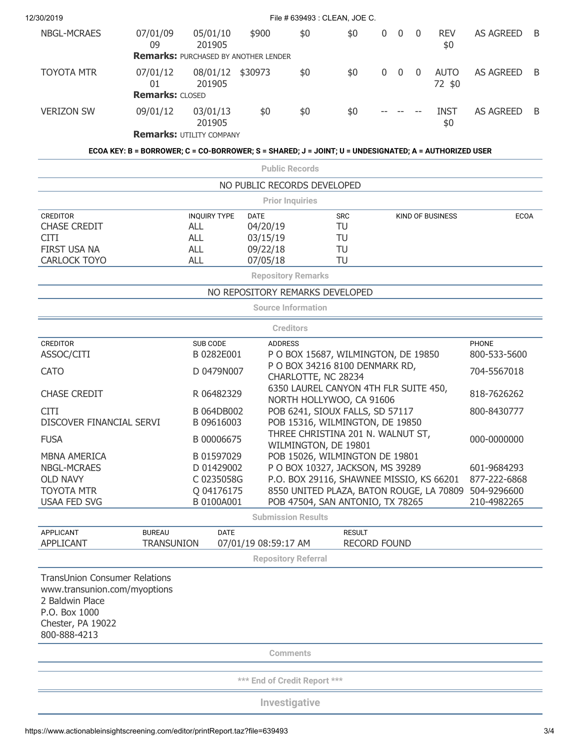| 12/30/2019                                                                                            |                                                                                                       |                                                                   |                                                                      |                            | File # 639493 : CLEAN, JOE C.                                                |              |             |                |                         |                            |   |
|-------------------------------------------------------------------------------------------------------|-------------------------------------------------------------------------------------------------------|-------------------------------------------------------------------|----------------------------------------------------------------------|----------------------------|------------------------------------------------------------------------------|--------------|-------------|----------------|-------------------------|----------------------------|---|
| <b>NBGL-MCRAES</b>                                                                                    | 07/01/09<br>09                                                                                        | 05/01/10<br>201905<br><b>Remarks: PURCHASED BY ANOTHER LENDER</b> | \$900                                                                | \$0                        | \$0                                                                          | $\mathbf{0}$ | $\mathbf 0$ | $\mathbf{0}$   | <b>REV</b><br>\$0       | <b>AS AGREED</b>           | B |
| <b>TOYOTA MTR</b>                                                                                     | 07/01/12<br>01<br><b>Remarks: CLOSED</b>                                                              | 08/01/12<br>201905                                                | \$30973                                                              | \$0                        | \$0                                                                          | $\mathbf 0$  | $\mathbf 0$ | $\overline{0}$ | <b>AUTO</b><br>72 \$0   | <b>AS AGREED</b>           | B |
| <b>VERIZON SW</b>                                                                                     | 09/01/12                                                                                              | 03/01/13<br>201905                                                | \$0                                                                  | \$0                        | \$0                                                                          |              |             |                | <b>INST</b><br>\$0      | <b>AS AGREED</b>           | B |
|                                                                                                       |                                                                                                       | <b>Remarks: UTILITY COMPANY</b>                                   |                                                                      |                            |                                                                              |              |             |                |                         |                            |   |
|                                                                                                       | ECOA KEY: B = BORROWER; C = CO-BORROWER; S = SHARED; J = JOINT; U = UNDESIGNATED; A = AUTHORIZED USER |                                                                   |                                                                      |                            |                                                                              |              |             |                |                         |                            |   |
|                                                                                                       |                                                                                                       |                                                                   |                                                                      | <b>Public Records</b>      |                                                                              |              |             |                |                         |                            |   |
|                                                                                                       |                                                                                                       |                                                                   | NO PUBLIC RECORDS DEVELOPED                                          |                            |                                                                              |              |             |                |                         |                            |   |
| <b>CREDITOR</b>                                                                                       |                                                                                                       | <b>INQUIRY TYPE</b>                                               | <b>DATE</b>                                                          | <b>Prior Inquiries</b>     | <b>SRC</b>                                                                   |              |             |                | <b>KIND OF BUSINESS</b> | <b>ECOA</b>                |   |
| <b>CHASE CREDIT</b>                                                                                   |                                                                                                       | <b>ALL</b>                                                        | 04/20/19                                                             |                            | TU                                                                           |              |             |                |                         |                            |   |
| <b>CITI</b>                                                                                           |                                                                                                       | <b>ALL</b>                                                        | 03/15/19                                                             |                            | TU                                                                           |              |             |                |                         |                            |   |
| FIRST USA NA                                                                                          |                                                                                                       | <b>ALL</b>                                                        | 09/22/18                                                             |                            | TU                                                                           |              |             |                |                         |                            |   |
| <b>CARLOCK TOYO</b>                                                                                   |                                                                                                       | <b>ALL</b>                                                        | 07/05/18                                                             |                            | TU                                                                           |              |             |                |                         |                            |   |
|                                                                                                       |                                                                                                       |                                                                   |                                                                      | <b>Repository Remarks</b>  |                                                                              |              |             |                |                         |                            |   |
|                                                                                                       |                                                                                                       |                                                                   | NO REPOSITORY REMARKS DEVELOPED                                      | <b>Source Information</b>  |                                                                              |              |             |                |                         |                            |   |
|                                                                                                       |                                                                                                       |                                                                   |                                                                      |                            |                                                                              |              |             |                |                         |                            |   |
| <b>CREDITOR</b>                                                                                       |                                                                                                       | SUB CODE                                                          | <b>ADDRESS</b>                                                       | <b>Creditors</b>           |                                                                              |              |             |                |                         | <b>PHONE</b>               |   |
| ASSOC/CITI                                                                                            |                                                                                                       | B 0282E001                                                        |                                                                      |                            | P O BOX 15687, WILMINGTON, DE 19850                                          |              |             |                |                         | 800-533-5600               |   |
| <b>CATO</b>                                                                                           |                                                                                                       | D 0479N007                                                        | P O BOX 34216 8100 DENMARK RD,<br>704-5567018<br>CHARLOTTE, NC 28234 |                            |                                                                              |              |             |                |                         |                            |   |
| <b>CHASE CREDIT</b>                                                                                   |                                                                                                       | R 06482329                                                        |                                                                      |                            | 6350 LAUREL CANYON 4TH FLR SUITE 450,<br>NORTH HOLLYWOO, CA 91606            |              |             |                |                         | 818-7626262                |   |
| <b>CITI</b><br>DISCOVER FINANCIAL SERVI                                                               |                                                                                                       | B 064DB002<br>B 09616003                                          |                                                                      |                            | POB 6241, SIOUX FALLS, SD 57117<br>POB 15316, WILMINGTON, DE 19850           |              |             |                |                         | 800-8430777                |   |
| <b>FUSA</b>                                                                                           |                                                                                                       | B 00006675                                                        |                                                                      |                            | THREE CHRISTINA 201 N. WALNUT ST,<br>WILMINGTON, DE 19801                    |              |             |                |                         | 000-0000000                |   |
| <b>MBNA AMERICA</b>                                                                                   |                                                                                                       | B 01597029                                                        |                                                                      |                            | POB 15026, WILMINGTON DE 19801                                               |              |             |                |                         |                            |   |
| <b>NBGL-MCRAES</b>                                                                                    |                                                                                                       | D 01429002                                                        |                                                                      |                            | P O BOX 10327, JACKSON, MS 39289                                             |              |             |                |                         | 601-9684293                |   |
| <b>OLD NAVY</b>                                                                                       |                                                                                                       | C 0235058G                                                        |                                                                      |                            | P.O. BOX 29116, SHAWNEE MISSIO, KS 66201                                     |              |             |                |                         | 877-222-6868               |   |
| <b>TOYOTA MTR</b><br><b>USAA FED SVG</b>                                                              |                                                                                                       | Q 04176175<br>B 0100A001                                          |                                                                      |                            | 8550 UNITED PLAZA, BATON ROUGE, LA 70809<br>POB 47504, SAN ANTONIO, TX 78265 |              |             |                |                         | 504-9296600<br>210-4982265 |   |
|                                                                                                       |                                                                                                       |                                                                   |                                                                      | <b>Submission Results</b>  |                                                                              |              |             |                |                         |                            |   |
| <b>APPLICANT</b>                                                                                      | <b>BUREAU</b>                                                                                         | <b>DATE</b>                                                       |                                                                      |                            | <b>RESULT</b>                                                                |              |             |                |                         |                            |   |
| <b>APPLICANT</b>                                                                                      | <b>TRANSUNION</b>                                                                                     |                                                                   | 07/01/19 08:59:17 AM                                                 | <b>Repository Referral</b> | <b>RECORD FOUND</b>                                                          |              |             |                |                         |                            |   |
| <b>TransUnion Consumer Relations</b>                                                                  |                                                                                                       |                                                                   |                                                                      |                            |                                                                              |              |             |                |                         |                            |   |
| www.transunion.com/myoptions<br>2 Baldwin Place<br>P.O. Box 1000<br>Chester, PA 19022<br>800-888-4213 |                                                                                                       |                                                                   |                                                                      |                            |                                                                              |              |             |                |                         |                            |   |
|                                                                                                       |                                                                                                       |                                                                   |                                                                      | <b>Comments</b>            |                                                                              |              |             |                |                         |                            |   |
|                                                                                                       |                                                                                                       |                                                                   |                                                                      |                            |                                                                              |              |             |                |                         |                            |   |
|                                                                                                       |                                                                                                       |                                                                   | *** End of Credit Report ***                                         |                            |                                                                              |              |             |                |                         |                            |   |
|                                                                                                       |                                                                                                       |                                                                   |                                                                      | Investigative              |                                                                              |              |             |                |                         |                            |   |